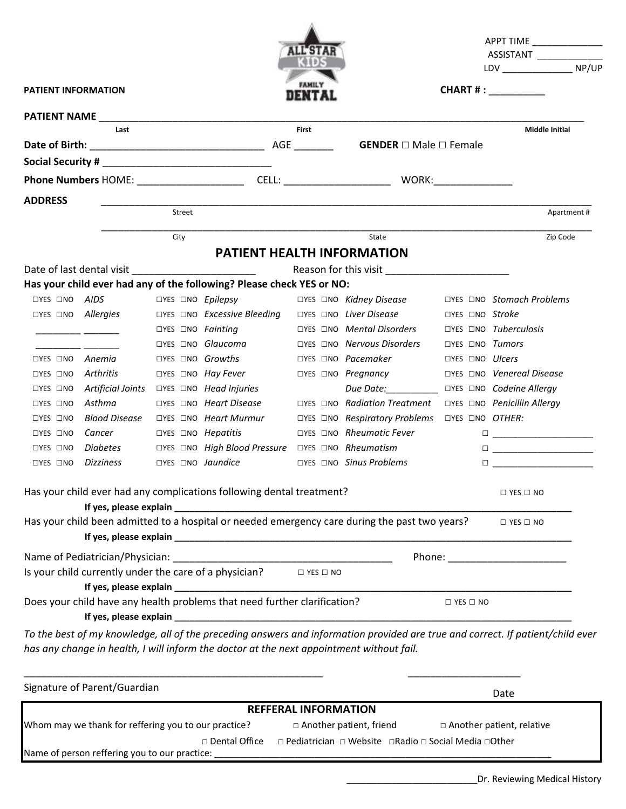|                                                                           |                                                      |                                           |                                                                                                                                                                                                                                |                             |                                                                                                           |                                          | APPT TIME ______________<br>ASSISTANT                                                                                                                                                                                          |  |
|---------------------------------------------------------------------------|------------------------------------------------------|-------------------------------------------|--------------------------------------------------------------------------------------------------------------------------------------------------------------------------------------------------------------------------------|-----------------------------|-----------------------------------------------------------------------------------------------------------|------------------------------------------|--------------------------------------------------------------------------------------------------------------------------------------------------------------------------------------------------------------------------------|--|
|                                                                           |                                                      |                                           |                                                                                                                                                                                                                                |                             |                                                                                                           |                                          | LDV ____________________ NP/UP                                                                                                                                                                                                 |  |
| <b>PATIENT INFORMATION</b>                                                |                                                      |                                           |                                                                                                                                                                                                                                | <b>FAMILY</b>               |                                                                                                           |                                          | CHART #:                                                                                                                                                                                                                       |  |
|                                                                           | <b>PATIENT NAME</b>                                  |                                           |                                                                                                                                                                                                                                |                             |                                                                                                           |                                          |                                                                                                                                                                                                                                |  |
|                                                                           | Last                                                 |                                           |                                                                                                                                                                                                                                | <b>First</b>                |                                                                                                           |                                          | <b>Middle Initial</b>                                                                                                                                                                                                          |  |
|                                                                           |                                                      |                                           |                                                                                                                                                                                                                                |                             |                                                                                                           |                                          |                                                                                                                                                                                                                                |  |
|                                                                           |                                                      |                                           |                                                                                                                                                                                                                                |                             |                                                                                                           |                                          |                                                                                                                                                                                                                                |  |
|                                                                           |                                                      |                                           |                                                                                                                                                                                                                                |                             | <b>Phone Numbers</b> HOME: ___________________________CELL: ___________________________ WORK:____________ |                                          |                                                                                                                                                                                                                                |  |
| <b>ADDRESS</b>                                                            |                                                      |                                           |                                                                                                                                                                                                                                |                             |                                                                                                           |                                          |                                                                                                                                                                                                                                |  |
|                                                                           |                                                      | Street                                    |                                                                                                                                                                                                                                |                             |                                                                                                           |                                          | Apartment#                                                                                                                                                                                                                     |  |
|                                                                           |                                                      | City                                      |                                                                                                                                                                                                                                |                             | State                                                                                                     |                                          | Zip Code                                                                                                                                                                                                                       |  |
|                                                                           |                                                      |                                           | <b>PATIENT HEALTH INFORMATION</b>                                                                                                                                                                                              |                             |                                                                                                           |                                          |                                                                                                                                                                                                                                |  |
|                                                                           |                                                      |                                           | Date of last dental visit example and some control of the state of the state of the state of the state of the state of the state of the state of the state of the state of the state of the state of the state of the state of |                             | Reason for this visit                                                                                     |                                          |                                                                                                                                                                                                                                |  |
|                                                                           |                                                      |                                           | Has your child ever had any of the following? Please check YES or NO:                                                                                                                                                          |                             |                                                                                                           |                                          |                                                                                                                                                                                                                                |  |
| $\Box$ YES $\Box$ NO AIDS                                                 |                                                      | $\square$ YES $\square$ NO Epilepsy       |                                                                                                                                                                                                                                |                             | □YES □NO Kidney Disease                                                                                   |                                          | □YES □NO Stomach Problems                                                                                                                                                                                                      |  |
| $\Box$ YES $\Box$ NO Allergies                                            |                                                      |                                           | $\square$ YES $\square$ NO <i>Excessive Bleeding</i>                                                                                                                                                                           |                             | $\Box$ YES $\Box$ NO Liver Disease                                                                        | □YES □NO Stroke                          |                                                                                                                                                                                                                                |  |
|                                                                           |                                                      | $\Box$ YES $\Box$ NO <i>Fainting</i>      |                                                                                                                                                                                                                                |                             | $\square$ YES $\square$ NO Mental Disorders                                                               |                                          | $\square$ YES $\square$ NO Tuberculosis                                                                                                                                                                                        |  |
|                                                                           |                                                      |                                           | □YES □NO Glaucoma                                                                                                                                                                                                              |                             | $\Box$ YES $\Box$ NO <i>Nervous Disorders</i>                                                             | $\Box$ YES $\Box$ NO Tumors              |                                                                                                                                                                                                                                |  |
| $\square$ YES $\square$ NO Anemia                                         |                                                      | $\square$ YES $\square$ NO <i>Growths</i> |                                                                                                                                                                                                                                |                             | $\square$ YES $\square$ NO <i>Pacemaker</i>                                                               | $\square$ YES $\square$ NO <i>Ulcers</i> |                                                                                                                                                                                                                                |  |
| $\Box$ YES $\Box$ NO                                                      | Arthritis                                            |                                           | $\Box$ YES $\Box$ NO Hay Fever                                                                                                                                                                                                 |                             | $\square$ YES $\square$ NO Pregnancy                                                                      |                                          | □YES □NO Venereal Disease                                                                                                                                                                                                      |  |
| $\Box$ YES $\Box$ NO                                                      | <b>Artificial Joints</b>                             |                                           | $\square$ YES $\square$ NO Head Injuries                                                                                                                                                                                       |                             | Due Date: □YES □NO Codeine Allergy                                                                        |                                          |                                                                                                                                                                                                                                |  |
| $\Box$ YES $\Box$ NO                                                      | Asthma                                               |                                           | $\Box$ YES $\Box$ NO Heart Disease                                                                                                                                                                                             |                             | □YES □NO Radiation Treatment □YES □NO Penicillin Allergy                                                  |                                          |                                                                                                                                                                                                                                |  |
| $\Box$ YES $\Box$ NO                                                      | Blood Disease                                        |                                           | $\Box$ YES $\Box$ NO <i>Heart Murmur</i>                                                                                                                                                                                       |                             | <b>EXES ENO Respiratory Problems</b> EXES ENO OTHER:                                                      |                                          |                                                                                                                                                                                                                                |  |
| $\Box$ YES $\Box$ NO                                                      | Cancer                                               | $\Box$ YES $\Box$ NO <i>Hepatitis</i>     |                                                                                                                                                                                                                                |                             | $\square$ YES $\square$ NO Rheumatic Fever                                                                |                                          |                                                                                                                                                                                                                                |  |
| $\Box$ YES $\Box$ NO                                                      | <b>Diabetes</b>                                      |                                           | □YES □NO High Blood Pressure □YES □NO Rheumatism                                                                                                                                                                               |                             |                                                                                                           |                                          | $\begin{tabular}{ c c c c } \hline \quad \quad & \quad \quad & \quad \quad & \quad \quad \\ \hline \quad \quad & \quad \quad & \quad \quad & \quad \quad \\ \hline \end{tabular}$                                              |  |
| $\Box$ YES $\Box$ NO                                                      | <b>Dizziness</b>                                     | $\Box$ YES $\Box$ NO <i>Jaundice</i>      |                                                                                                                                                                                                                                |                             | $\square$ YES $\square$ NO Sinus Problems                                                                 |                                          |                                                                                                                                                                                                                                |  |
|                                                                           |                                                      |                                           | Has your child ever had any complications following dental treatment?                                                                                                                                                          |                             |                                                                                                           |                                          | $\Box$ YES $\Box$ NO                                                                                                                                                                                                           |  |
|                                                                           |                                                      |                                           |                                                                                                                                                                                                                                |                             |                                                                                                           |                                          |                                                                                                                                                                                                                                |  |
|                                                                           |                                                      |                                           |                                                                                                                                                                                                                                |                             | Has your child been admitted to a hospital or needed emergency care during the past two years?            |                                          | $\Box$ YES $\Box$ NO                                                                                                                                                                                                           |  |
|                                                                           |                                                      |                                           |                                                                                                                                                                                                                                |                             |                                                                                                           |                                          |                                                                                                                                                                                                                                |  |
|                                                                           | Name of Pediatrician/Physician:                      |                                           |                                                                                                                                                                                                                                |                             |                                                                                                           |                                          | Phone: National Phone State Contract of the Contract of the Contract of the Contract of the Contract of the Contract of the Contract of the Contract of the Contract of the Contract of the Contract of the Contract of the Co |  |
|                                                                           |                                                      |                                           | Is your child currently under the care of a physician? $\Box$ YES $\Box$ NO                                                                                                                                                    |                             |                                                                                                           |                                          |                                                                                                                                                                                                                                |  |
|                                                                           |                                                      |                                           |                                                                                                                                                                                                                                |                             |                                                                                                           |                                          |                                                                                                                                                                                                                                |  |
| Does your child have any health problems that need further clarification? |                                                      |                                           |                                                                                                                                                                                                                                |                             |                                                                                                           | $\Box$ YES $\Box$ NO                     |                                                                                                                                                                                                                                |  |
|                                                                           |                                                      |                                           |                                                                                                                                                                                                                                |                             |                                                                                                           |                                          |                                                                                                                                                                                                                                |  |
|                                                                           |                                                      |                                           | has any change in health, I will inform the doctor at the next appointment without fail.                                                                                                                                       |                             |                                                                                                           |                                          | To the best of my knowledge, all of the preceding answers and information provided are true and correct. If patient/child ever                                                                                                 |  |
|                                                                           | Signature of Parent/Guardian                         |                                           |                                                                                                                                                                                                                                |                             |                                                                                                           |                                          |                                                                                                                                                                                                                                |  |
|                                                                           |                                                      |                                           |                                                                                                                                                                                                                                |                             |                                                                                                           |                                          | Date                                                                                                                                                                                                                           |  |
|                                                                           | Whom may we thank for reffering you to our practice? |                                           |                                                                                                                                                                                                                                | <b>REFFERAL INFORMATION</b> | $\Box$ Another patient, friend                                                                            |                                          | □ Another patient, relative                                                                                                                                                                                                    |  |
|                                                                           | Name of person reffering you to our practice: _      |                                           | □ Dental Office                                                                                                                                                                                                                |                             | □ Pediatrician □ Website □ Radio □ Social Media □ Other                                                   |                                          |                                                                                                                                                                                                                                |  |
|                                                                           |                                                      |                                           |                                                                                                                                                                                                                                |                             |                                                                                                           |                                          |                                                                                                                                                                                                                                |  |

\_\_\_\_\_\_\_\_\_\_\_\_\_\_\_\_\_\_\_\_\_\_\_\_\_\_Dr. Reviewing Medical History